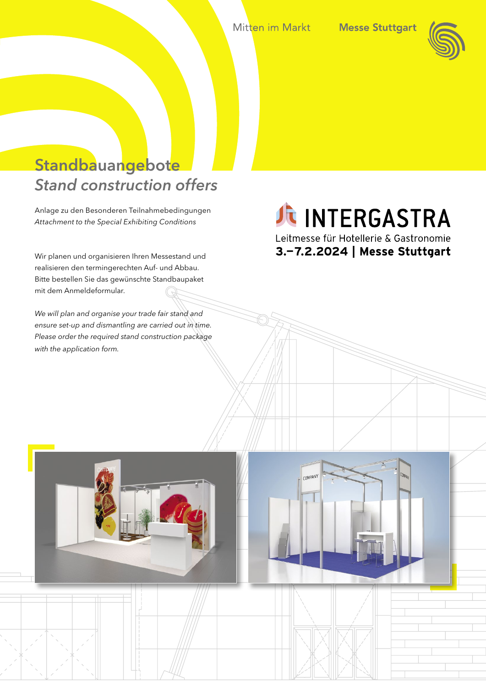Mitten im Markt



# **Standbauangebote** *Stand construction offers*

Anlage zu den Besonderen Teilnahmebedingungen *Attachment to the Special Exhibiting Conditions*

Wir planen und organisieren Ihren Messestand und realisieren den termingerechten Auf- und Abbau. Bitte bestellen Sie das gewünschte Standbaupaket mit dem Anmeldeformular.

*We will plan and organise your trade fair stand and ensure set-up and dismantling are carried out in time. Please order the required stand construction package with the application form.*

# JE INTERGASTRA

Leitmesse für Hotellerie & Gastronomie 3.-7.2.2024 | Messe Stuttgart

COMPANY

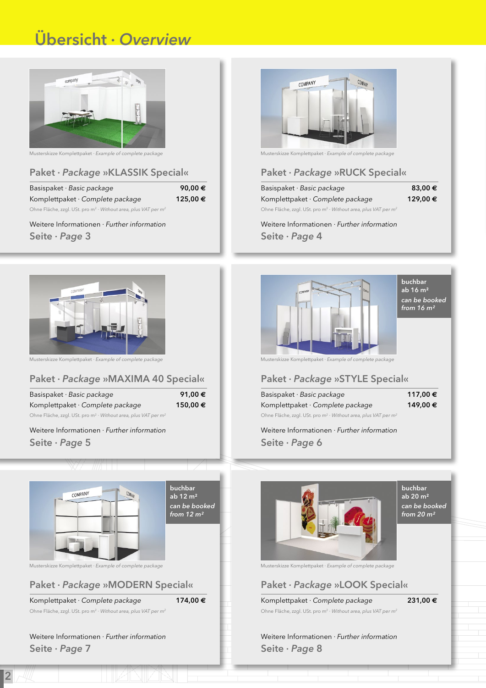# Übersicht · *Overview*



Musterskizze Komplettpaket · *Example of complete package*

### Paket · *Package* »KLASSIK Special«

| Basispaket $\cdot$ Basic package                                                       | 90.00 $\epsilon$ |
|----------------------------------------------------------------------------------------|------------------|
| Komplettpaket · Complete package                                                       | 125,00€          |
| Ohne Fläche, zzgl. USt. pro m <sup>2</sup> · Without area, plus VAT per m <sup>2</sup> |                  |

Weitere Informationen · *Further information*  Seite · *Page* 3



Musterskizze Komplettpaket · *Example of complete package*

### Paket · *Package* »MAXIMA 40 Special«

| Basispaket $\cdot$ Basic package                                          | 91,00€  |
|---------------------------------------------------------------------------|---------|
| Komplettpaket · Complete package                                          | 150,00€ |
| Ohne Fläche, zzgl. USt. pro $m^2 \cdot W$ ithout area, plus VAT per $m^2$ |         |

Weitere Informationen · *Further information*  Seite · *Page* 5



### Paket · *Package* »MODERN Special«

Komplettpaket · *Complete package* 174,00 **€**

Ohne Fläche, zzgl. USt. pro m2 · *Without area, plus VAT per m2*

Weitere Informationen · *Further information*  Seite · *Page* 7

2



Musterskizze Komplettpaket · *Example of complete package*

### Paket · *Package* »RUCK Special«

| Basispaket $\cdot$ Basic package                                                       | $83,00 \in$ |
|----------------------------------------------------------------------------------------|-------------|
| Komplettpaket · Complete package                                                       | 129.00€     |
| Ohne Fläche, zzgl. USt. pro m <sup>2</sup> · Without area, plus VAT per m <sup>2</sup> |             |

Weitere Informationen · *Further information*  Seite · *Page* 4



Musterskizze Komplettpaket · *Example of complete package*

### Paket · *Package* »STYLE Special«

| Basispaket $\cdot$ Basic package                                                       | 117,00 € |
|----------------------------------------------------------------------------------------|----------|
| Komplettpaket $\cdot$ Complete package                                                 | 149,00 € |
| Ohne Fläche, zzgl. USt. pro m <sup>2</sup> · Without area, plus VAT per m <sup>2</sup> |          |

Weitere Informationen · *Further information*  Seite · *Page* 6



**buchbar** ab 20 m² *can be booked from 20 m²*

Musterskizze Komplettpaket · *Example of complete package*

### Paket · *Package* »LOOK Special«

Komplettpaket · *Complete package* 231,00 **€** Ohne Fläche, zzgl. USt. pro m2 · *Without area, plus VAT per m2*

Weitere Informationen · *Further information*  Seite · *Page* 8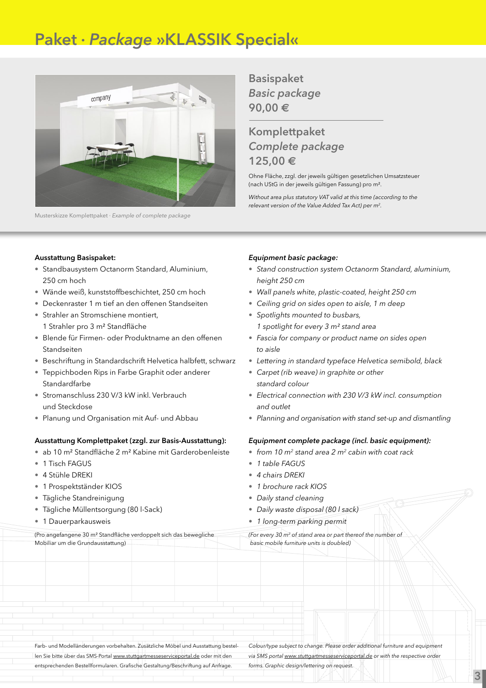# Paket · *Package* »KLASSIK Special«



Musterskizze Komplettpaket · *Example of complete package*

Basispaket *Basic package* 90,00 **€**

### Komplettpaket *Complete package* 125,00 **€**

Ohne Fläche, zzgl. der jeweils gültigen gesetzlichen Umsatzsteuer (nach UStG in der jeweils gültigen Fassung) pro m².

*Without area plus statutory VAT valid at this time (according to the relevant version of the Value Added Tax Act) per m2.*

### Ausstattung Basispaket:

- Standbausystem Octanorm Standard, Aluminium, 250 cm hoch
- Wände weiß, kunststoffbeschichtet, 250 cm hoch
- Deckenraster 1 m tief an den offenen Standseiten
- Strahler an Stromschiene montiert. 1 Strahler pro 3 m² Standfläche
- Blende für Firmen- oder Produktname an den offenen Standseiten
- Beschriftung in Standardschrift Helvetica halbfett, schwarz
- Teppichboden Rips in Farbe Graphit oder anderer **Standardfarbe**
- Stromanschluss 230 V/3 kW inkl. Verbrauch und Steckdose
- Planung und Organisation mit Auf- und Abbau

### Ausstattung Komplettpaket (zzgl. zur Basis-Ausstattung):

- ab 10 m² Standfläche 2 m² Kabine mit Garderobenleiste
- 1 Tisch FAGUS
- 4 Stühle DREKI
- 1 Prospektständer KIOS
- Tägliche Standreinigung
- Tägliche Müllentsorgung (80 l-Sack)
- 1 Dauerparkausweis

### *Equipment basic package:*

- • *Stand construction system Octanorm Standard, aluminium, height 250 cm*
- • *Wall panels white, plastic-coated, height 250 cm*
- • *Ceiling grid on sides open to aisle, 1 m deep*
- • *Spotlights mounted to busbars, 1 spotlight for every 3 m² stand area*
- • *Fascia for company or product name on sides open to aisle*
- • *Lettering in standard typeface Helvetica semibold, black*
- • *Carpet (rib weave) in graphite or other standard colour*
- • *Electrical connection with 230 V/3 kW incl. consumption and outlet*
- • *Planning and organisation with stand set-up and dismantling*

### *Equipment complete package (incl. basic equipment):*

- *from 10 m2 stand area 2 m2 cabin with coat rack*
- • *1 table FAGUS*
- • *4 chairs DREKI*
- • *1 brochure rack KIOS*
- • *Daily stand cleaning*
- • *Daily waste disposal (80 l sack)*
- • *1 long-term parking permit*

(Pro angefangene 30 m² Standfläche verdoppelt sich das bewegliche Mobiliar um die Grundausstattung) *(For every 30 m2 of stand area or part thereof the number of basic mobile furniture units is doubled)*

Farb- und Modelländerungen vorbehalten. Zusätzliche Möbel und Ausstattung bestellen Sie bitte über das SMS-Portal www.stuttgartmesseserviceportal.de oder mit den entsprechenden Bestellformularen. Grafische Gestaltung/Beschriftung auf Anfrage.

*Colour/type subject to change. Please order additional furniture and equipment via SMS portal www.stuttgartmesseserviceportal.de or with the respective order forms. Graphic design/lettering on request.*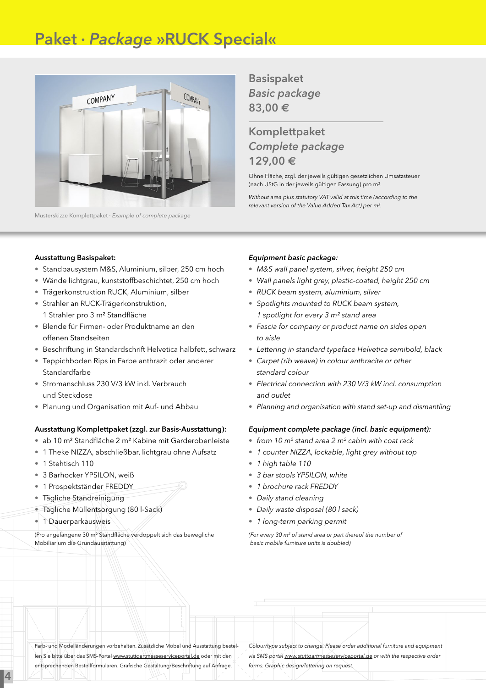# Paket · *Package* »RUCK Special«



Musterskizze Komplettpaket · *Example of complete package*

Basispaket *Basic package* 83,00 **€**

### Komplettpaket *Complete package* 129,00 **€**

Ohne Fläche, zzgl. der jeweils gültigen gesetzlichen Umsatzsteuer (nach UStG in der jeweils gültigen Fassung) pro m².

*Without area plus statutory VAT valid at this time (according to the relevant version of the Value Added Tax Act) per m2.*

### Ausstattung Basispaket:

- Standbausystem M&S, Aluminium, silber, 250 cm hoch
- Wände lichtgrau, kunststoffbeschichtet, 250 cm hoch
- Trägerkonstruktion RUCK, Aluminium, silber
- Strahler an RUCK-Trägerkonstruktion, 1 Strahler pro 3 m² Standfläche
- Blende für Firmen- oder Produktname an den offenen Standseiten
- Beschriftung in Standardschrift Helvetica halbfett, schwarz
- Teppichboden Rips in Farbe anthrazit oder anderer Standardfarbe
- Stromanschluss 230 V/3 kW inkl. Verbrauch und Steckdose
- Planung und Organisation mit Auf- und Abbau

#### Ausstattung Komplettpaket (zzgl. zur Basis-Ausstattung):

- ab 10 m² Standfläche 2 m² Kabine mit Garderobenleiste
- 1 Theke NIZZA, abschließbar, lichtgrau ohne Aufsatz
- 1 Stehtisch 110
- 3 Barhocker YPSILON, weiß
- 1 Prospektständer FREDDY
- Tägliche Standreinigung
- Tägliche Müllentsorgung (80 l-Sack)
- 1 Dauerparkausweis

4

(Pro angefangene 30 m² Standfläche verdoppelt sich das bewegliche Mobiliar um die Grundausstattung)

#### *Equipment basic package:*

- • *M&S wall panel system, silver, height 250 cm*
- • *Wall panels light grey, plastic-coated, height 250 cm*
- • *RUCK beam system, aluminium, silver*
- • *Spotlights mounted to RUCK beam system, 1 spotlight for every 3 m² stand area*
- • *Fascia for company or product name on sides open to aisle*
- • *Lettering in standard typeface Helvetica semibold, black*
- • *Carpet (rib weave) in colour anthracite or other standard colour*
- • *Electrical connection with 230 V/3 kW incl. consumption and outlet*
- • *Planning and organisation with stand set-up and dismantling*

#### *Equipment complete package (incl. basic equipment):*

- *from 10 m2 stand area 2 m2 cabin with coat rack*
- *1 counter NIZZA, lockable, light grey without top*
- • *1 high table 110*
- • *3 bar stools YPSILON, white*
- • *1 brochure rack FREDDY*
- • *Daily stand cleaning*
- • *Daily waste disposal (80 l sack)*
- • *1 long-term parking permit*

*(For every 30 m2 of stand area or part thereof the number of basic mobile furniture units is doubled)*

Farb- und Modelländerungen vorbehalten. Zusätzliche Möbel und Ausstattung bestellen Sie bitte über das SMS-Portal www.stuttgartmesseserviceportal.de oder mit den entsprechenden Bestellformularen. Grafische Gestaltung/Beschriftung auf Anfrage.

*Colour/type subject to change. Please order additional furniture and equipment via SMS portal www.stuttgartmesseserviceportal.de or with the respective order forms. Graphic design/lettering on request.*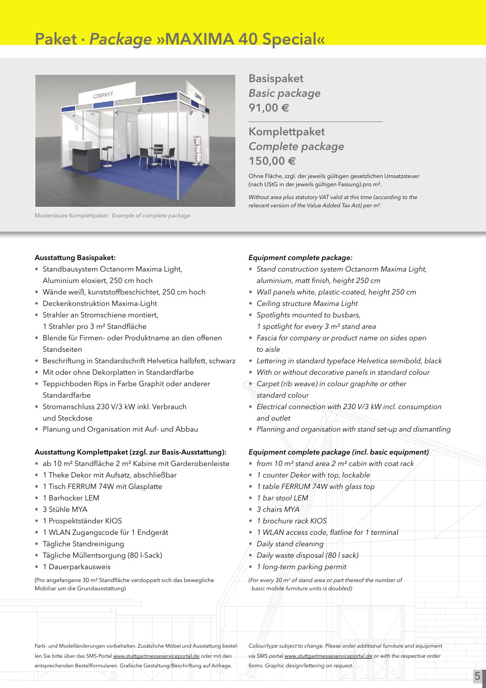# Paket · *Package* »MAXIMA 40 Special«



Musterskizze Komplettpaket · *Example of complete package*

Basispaket *Basic package* 91,00 **€**

### Komplettpaket *Complete package* 150,00 **€**

Ohne Fläche, zzgl. der jeweils gültigen gesetzlichen Umsatzsteuer (nach UStG in der jeweils gültigen Fassung) pro m².

*Without area plus statutory VAT valid at this time (according to the relevant version of the Value Added Tax Act) per m2.*

### Ausstattung Basispaket:

- Standbausystem Octanorm Maxima Light, Aluminium eloxiert, 250 cm hoch
- Wände weiß, kunststoffbeschichtet, 250 cm hoch
- Deckenkonstruktion Maxima-Light
- Strahler an Stromschiene montiert, 1 Strahler pro 3 m² Standfläche
- Blende für Firmen- oder Produktname an den offenen Standseiten
- Beschriftung in Standardschrift Helvetica halbfett, schwarz
- Mit oder ohne Dekorplatten in Standardfarbe
- Teppichboden Rips in Farbe Graphit oder anderer **Standardfarbe**
- Stromanschluss 230 V/3 kW inkl. Verbrauch und Steckdose
- Planung und Organisation mit Auf- und Abbau

### Ausstattung Komplettpaket (zzgl. zur Basis-Ausstattung):

- ab 10 m² Standfläche 2 m² Kabine mit Garderobenleiste
- 1 Theke Dekor mit Aufsatz, abschließbar
- 1 Tisch FERRUM 74W mit Glasplatte
- 1 Barhocker LEM
- 3 Stühle MYA
- 1 Prospektständer KIOS
- 1 WLAN Zugangscode für 1 Endgerät
- Tägliche Standreinigung
- Tägliche Müllentsorgung (80 l-Sack)
- 1 Dauerparkausweis

(Pro angefangene 30 m² Standfläche verdoppelt sich das bewegliche Mobiliar um die Grundausstattung)

### *Equipment complete package:*

- *Stand construction system Octanorm Maxima Light, aluminium, matt finish, height 250 cm*
- *Wall panels white, plastic-coated, height 250 cm*
- *Ceiling structure Maxima Light*
- *Spotlights mounted to busbars, 1 spotlight for every 3 m² stand area*
- *Fascia for company or product name on sides open to aisle*
- *Lettering in standard typeface Helvetica semibold, black*
- *With or without decorative panels in standard colour*
- *Carpet (rib weave) in colour graphite or other standard colour*
- • *Electrical connection with 230 V/3 kW incl. consumption and outlet*
- • *Planning and organisation with stand set-up and dismantling*

### *Equipment complete package (incl. basic equipment)*

- *from 10 m² stand area 2 m² cabin with coat rack*
- *1 counter Dekor with top, lockable*
- *1 table FERRUM 74W with glass top*
- *1 bar stool LEM*
- *3 chairs MYA*
- • *1 brochure rack KIOS*
- • *1 WLAN access code, flatline for 1 terminal*
- • *Daily stand cleaning*
- • *Daily waste disposal (80 l sack)*
- • *1 long-term parking permit*

*(For every 30 m2 of stand area or part thereof the number of basic mobile furniture units is doubled)*

Farb- und Modelländerungen vorbehalten. Zusätzliche Möbel und Ausstattung bestellen Sie bitte über das SMS-Portal www.stuttgartmesseserviceportal.de oder mit den entsprechenden Bestellformularen. Grafische Gestaltung/Beschriftung auf Anfrage.

*Colour/type subject to change. Please order additional furniture and equipment via SMS portal www.stuttgartmesseserviceportal.de or with the respective order forms. Graphic design/lettering on request.*

5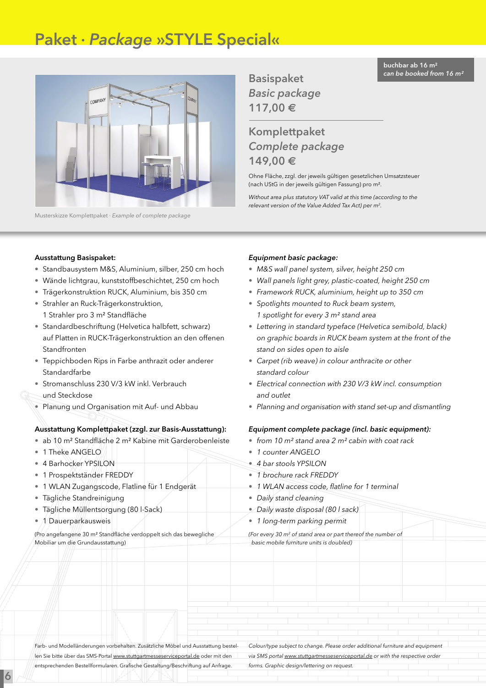# Paket · *Package* »STYLE Special«



Musterskizze Komplettpaket · *Example of complete package*

buchbar ab 16 m² *can be booked from 16 m²*

Basispaket *Basic package* 117,00 **€**

### Komplettpaket *Complete package* 149,00 **€**

Ohne Fläche, zzgl. der jeweils gültigen gesetzlichen Umsatzsteuer (nach UStG in der jeweils gültigen Fassung) pro m².

*Without area plus statutory VAT valid at this time (according to the relevant version of the Value Added Tax Act) per m2.*

#### Ausstattung Basispaket:

- Standbausystem M&S, Aluminium, silber, 250 cm hoch
- Wände lichtgrau, kunststoffbeschichtet, 250 cm hoch
- Trägerkonstruktion RUCK, Aluminium, bis 350 cm
- Strahler an Ruck-Trägerkonstruktion, 1 Strahler pro 3 m² Standfläche
- Standardbeschriftung (Helvetica halbfett, schwarz) auf Platten in RUCK-Trägerkonstruktion an den offenen Standfronten
- Teppichboden Rips in Farbe anthrazit oder anderer Standardfarbe
- Stromanschluss 230 V/3 kW inkl. Verbrauch und Steckdose
- Planung und Organisation mit Auf- und Abbau

### Ausstattung Komplettpaket (zzgl. zur Basis-Ausstattung):

- ab 10 m² Standfläche 2 m² Kabine mit Garderobenleiste
- 1 Theke ANGELO
- 4 Barhocker YPSILON
- 1 Prospektständer FREDDY
- 1 WLAN Zugangscode, Flatline für 1 Endgerät
- Tägliche Standreinigung
- Tägliche Müllentsorgung (80 l-Sack)
- 1/Dauerparkausweis

6

(Pro angefangene 30 m² Standfläche verdoppelt sich das bewegliche Mobiliar um die Grundausstattung)

#### *Equipment basic package:*

- • *M&S wall panel system, silver, height 250 cm*
- • *Wall panels light grey, plastic-coated, height 250 cm*
- • *Framework RUCK, aluminium, height up to 350 cm*
- • *Spotlights mounted to Ruck beam system, 1 spotlight for every 3 m² stand area*
- • *Lettering in standard typeface (Helvetica semibold, black) on graphic boards in RUCK beam system at the front of the stand on sides open to aisle*
- • *Carpet (rib weave) in colour anthracite or other standard colour*
- • *Electrical connection with 230 V/3 kW incl. consumption and outlet*
- • *Planning and organisation with stand set-up and dismantling*

#### *Equipment complete package (incl. basic equipment):*

- *from 10 m² stand area 2 m² cabin with coat rack*
- *1 counter ANGELO*
- *4 bar stools YPSILON*
- *1 brochure rack FREDDY*
- *1 WLAN access code, flatline for 1 terminal*
- • *Daily stand cleaning*
- • *Daily waste disposal (80 l sack)*
- • *1 long-term parking permit*

*(For every 30 m2 of stand area or part thereof the number of basic mobile furniture units is doubled)*

Farb- und Modelländerungen vorbehalten. Zusätzliche Möbel und Ausstattung bestellen Sie bitte über das SMS-Portal www.stuttgartmesseserviceportal.de oder mit den entsprechenden Bestellformularen. Grafische Gestaltung/Beschriftung auf Anfrage.

*Colour/type subject to change. Please order additional furniture and equipment via SMS portal www.stuttgartmesseserviceportal.de or with the respective order forms. Graphic design/lettering on request.*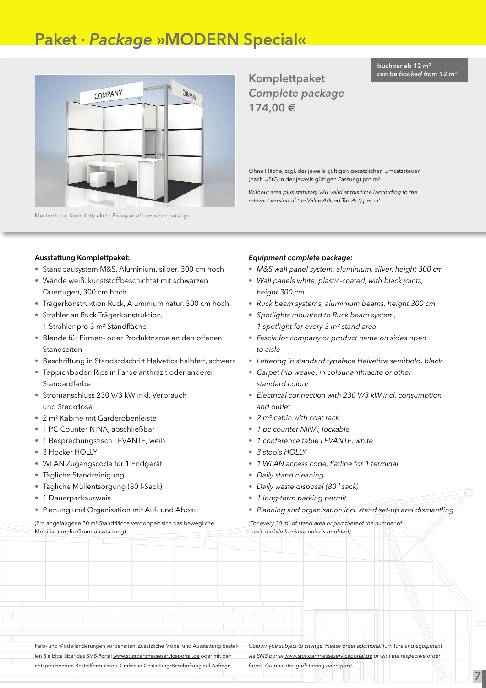# Paket · *Package* »MODERN Special«



Musterskizze Komplettpaket · *Example of complete package*

Komplettpaket *Complete package* 174,00 **€**

Ohne Fläche, zzgl. der jeweils gültigen gesetzlichen Umsatzsteuer (nach UStG in der jeweils gültigen Fassung) pro m².

*Without area plus statutory VAT valid at this time (according to the relevant version of the Value Added Tax Act) per m2.*

### Ausstattung Komplettpaket:

- Standbausystem M&S, Aluminium, silber, 300 cm hoch
- Wände weiß, kunststoffbeschichtet mit schwarzen Querfugen, 300 cm hoch
- Trägerkonstruktion Ruck, Aluminium natur, 300 cm hoch
- Strahler an Ruck-Trägerkonstruktion, 1 Strahler pro 3 m² Standfläche
- Blende für Firmen- oder Produktname an den offenen Standseiten
- Beschriftung in Standardschrift Helvetica halbfett, schwarz
- Teppichboden Rips in Farbe anthrazit oder anderer **Standardfarbe**
- Stromanschluss 230 V/3 kW inkl. Verbrauch und Steckdose
- 2 m² Kabine mit Garderobenleiste
- 1 PC Counter NINA, abschließbar
- 1 Besprechungstisch LEVANTE, weiß
- 3 Hocker HOLLY
- WLAN Zugangscode für 1 Endgerät
- Tägliche Standreinigung
- Tägliche Müllentsorgung (80 l-Sack)
- 1 Dauerparkausweis
- Planung und Organisation mit Auf- und Abbau

(Pro angefangene 30 m² Standfläche verdoppelt sich das bewegliche Mobiliar um die Grundausstattung)

### *Equipment complete package:*

- • *M&S wall panel system, aluminium, silver, height 300 cm*
- • *Wall panels white, plastic-coated, with black joints, height 300 cm*
- • *Ruck beam systems, aluminium beams, height 300 cm*
- • *Spotlights mounted to Ruck beam system, 1 spotlight for every 3 m² stand area*
- • *Fascia for company or product name on sides open to aisle*
- • *Lettering in standard typeface Helvetica semibold, black*
- • *Carpet (rib weave) in colour anthracite or other standard colour*
- • *Electrical connection with 230 V/3 kW incl. consumption and outlet*
- *2 m² cabin with coat rack*
- • *1 pc counter NINA, lockable*
- • *1 conference table LEVANTE, white*
- • *3 stools HOLLY*
- • *1 WLAN access code, flatline for 1 terminal*
- • *Daily stand cleaning*
- • *Daily waste disposal (80 l sack)*
- • *1 long-term parking permit*
- *Planning and organisation incl. stand set-up and dismantling*

*(For every 30 m2 of stand area or part thereof the number of basic mobile furniture units is doubled)*

Farb- und Modelländerungen vorbehalten. Zusätzliche Möbel und Ausstattung bestellen Sie bitte über das SMS-Portal www.stuttgartmesseserviceportal.de oder mit den entsprechenden Bestellformularen. Grafische Gestaltung/Beschriftung auf Anfrage.

*Colour/type subject to change. Please order additional furniture and equipment via SMS portal www.stuttgartmesseserviceportal.de or with the respective order forms. Graphic design/lettering on request.*

7

buchbar ab 12 m² *can be booked from 12 m²*